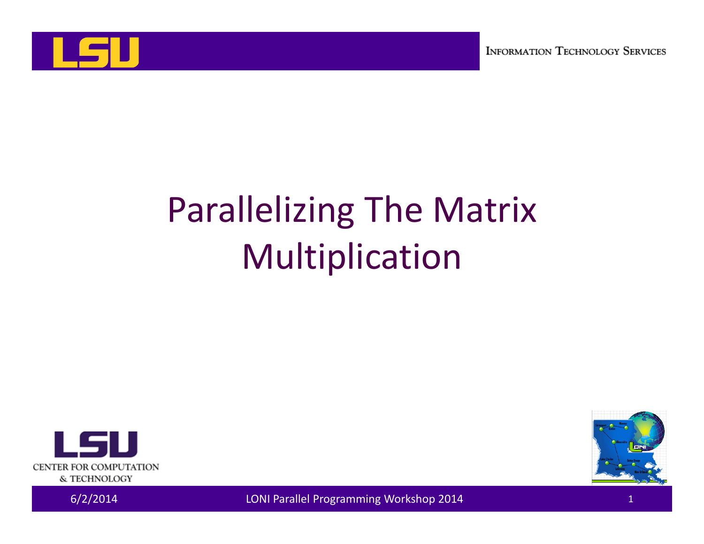

# Parallelizing The Matrix Multiplication





6/2/2014 LONI Parallel Programming Workshop 2014 <sup>1</sup>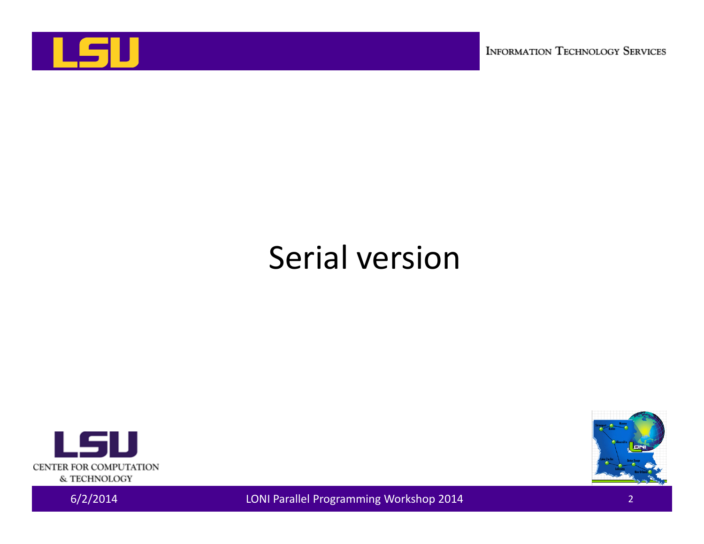

**INFORMATION TECHNOLOGY SERVICES** 

#### Serial version





6/2/2014 LONI Parallel Programming Workshop 2014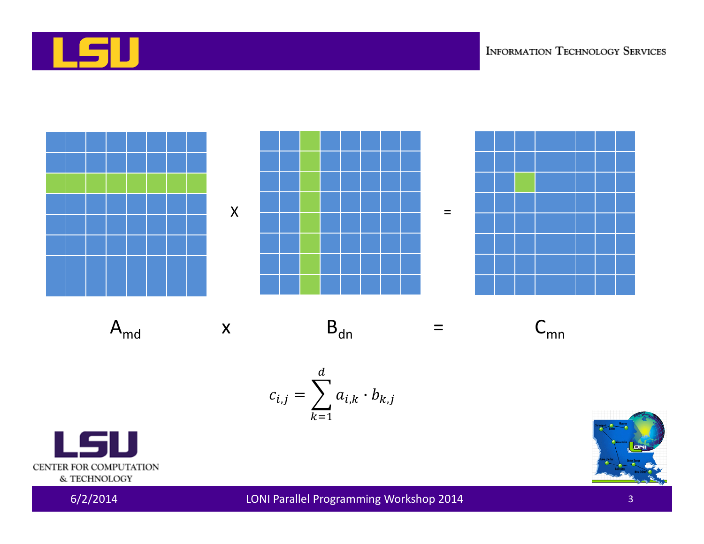



 $A_{\text{md}}$ 





$$
c_{i,j} = \sum_{k=1}^d a_{i,k} \cdot b_{k,j}
$$





LSU

CENTER FOR COMPUTATION & TECHNOLOGY

LONI Parallel Programming Workshop 2014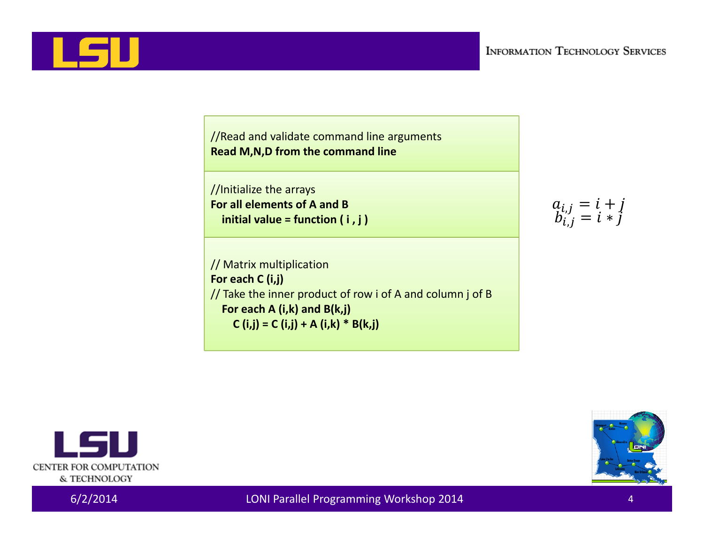LSU

//Read and validate command line arguments **Read M,N,D from the command line**

//Initialize the arrays **For all elements of A and B initial value <sup>=</sup> function ( i , j )**

// Matrix multiplication **For each C (i,j)** // Take the inner product of row i of A and column j of B **For each A (i,k) and B(k,j) C (i,j) <sup>=</sup> C (i,j) <sup>+</sup> A (i,k) \* B(k,j)**

 $a_{i,j} = i + j$ <br> $b_{i,j} = i * j$ 



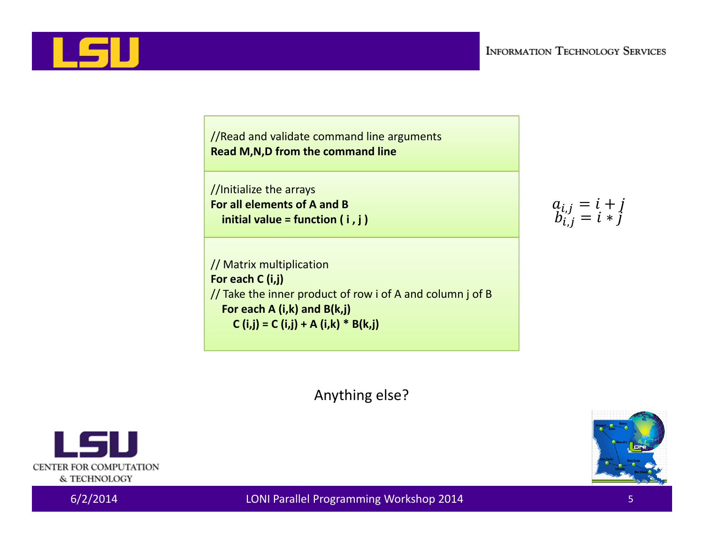//Initialize the arrays **For all elements of A and B initial value <sup>=</sup> function ( i , j )**

// Matrix multiplication **For each C (i,j)** // Take the inner product of row i of A and column j of B **For each A (i,k) and B(k,j) C (i,j) <sup>=</sup> C (i,j) <sup>+</sup> A (i,k) \* B(k,j)**

 $a_{i,j} = i + j$ <br> $b_{i,j} = i * j$ 

Anything else?



I LS I I



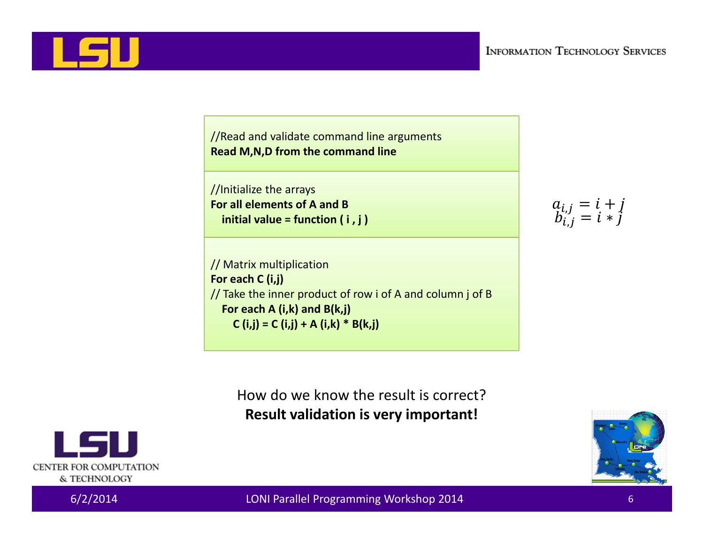//Initialize the arrays **For all elements of A and B initial value <sup>=</sup> function ( i , j )**

// Matrix multiplication **For each C (i,j)** // Take the inner product of row i of A and column j of B **For each A (i,k) and B(k,j) C (i,j) <sup>=</sup> C (i,j) <sup>+</sup> A (i,k) \* B(k,j)**

 $a_{i,j} = i + j$ <br> $b_{i,j} = i * j$ 

How do we know the result is correct? **Result validation is very important!**



CENTER FOR COMPUTATION & TECHNOLOGY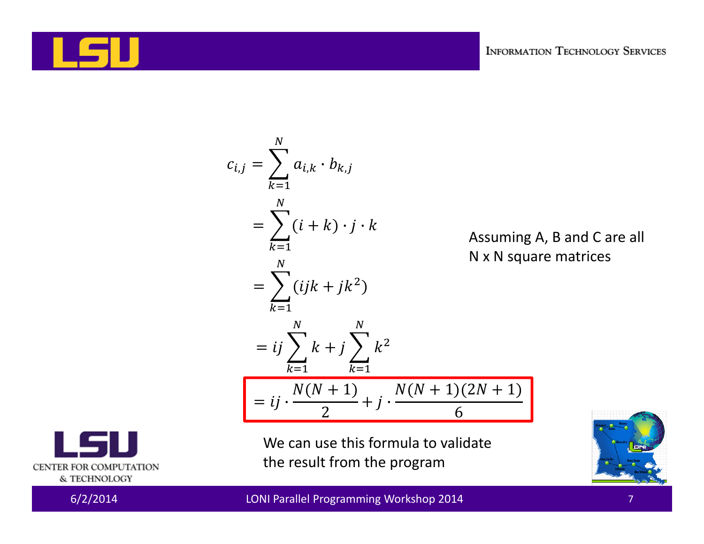

$$
c_{i,j} = \sum_{k=1}^{N} a_{i,k} \cdot b_{k,j}
$$
  
= 
$$
\sum_{k=1}^{N} (i+k) \cdot j \cdot k
$$
  
Assuming A, B and C are all  
N x N square matrices  

$$
= \sum_{k=1}^{N} (ijk + jk^{2})
$$

$$
= ij \sum_{k=1}^{N} k + j \sum_{k=1}^{N} k^{2}
$$

$$
= ij \cdot \frac{N(N+1)}{2} + j \cdot \frac{N(N+1)(2N+1)}{6}
$$

We can use this formula to validate the result from the program





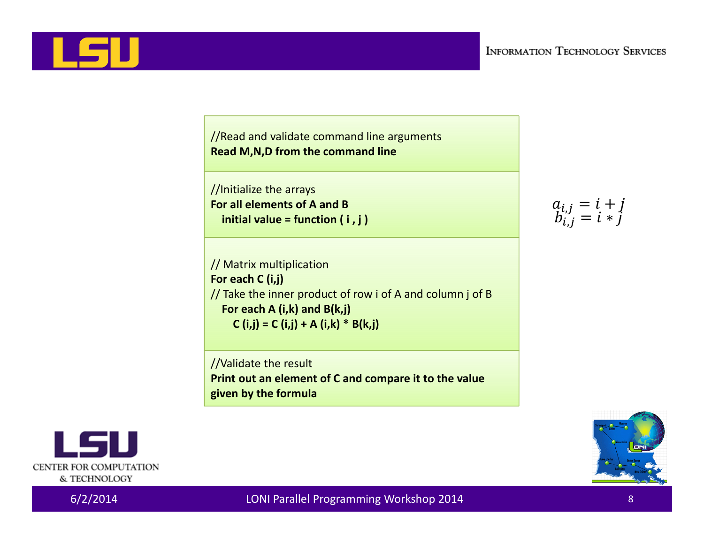

//Initialize the arrays **For all elements of A and B initial value <sup>=</sup> function ( i , j )**

// Matrix multiplication **For each C (i,j)** // Take the inner product of row i of A and column j of B **For each A (i,k) and B(k,j) C (i,j) <sup>=</sup> C (i,j) <sup>+</sup> A (i,k) \* B(k,j)**

//Validate the result **Print out an element of C and compare it to the value given by the formula**





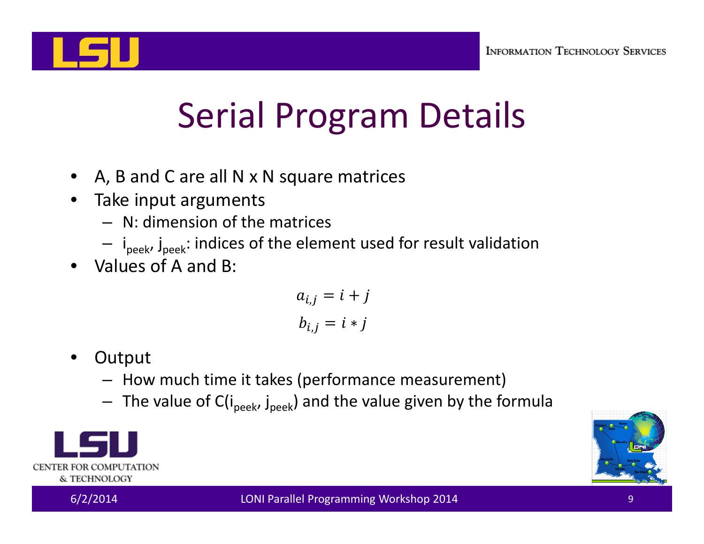

# Serial Program Details

- •A, B and C are all N <sup>x</sup> N square matrices
- •• Take input arguments
	- N: dimension of the matrices
	- i<sub>peek</sub>, j<sub>peek</sub>: indices of the element used for result validation
- •Values of A and B:

 $a_{i,j} = i + j$  $b_{i,j} = i * j$ 

- •**Output** 
	- How much time it takes (performance measurement)
	- $-$  The value of C(i<sub>peek</sub>, j<sub>peek</sub>) and the value given by the formula



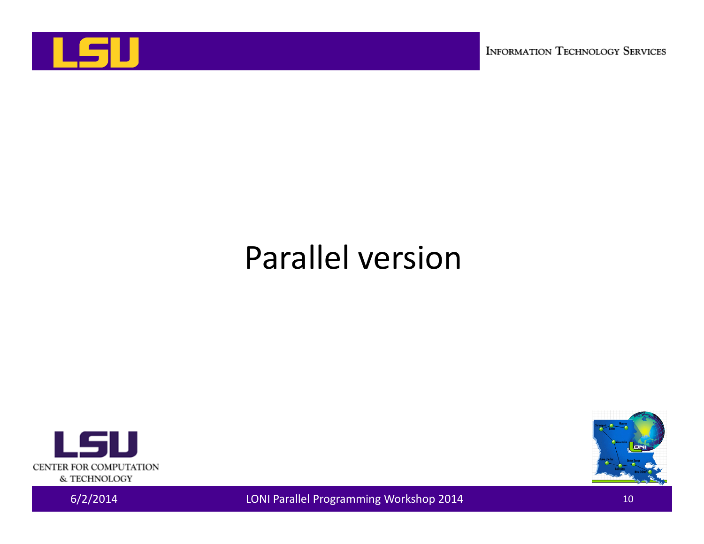

**INFORMATION TECHNOLOGY SERVICES** 

#### Parallel version





6/2/2014 LONI Parallel Programming Workshop 2014 <sup>10</sup>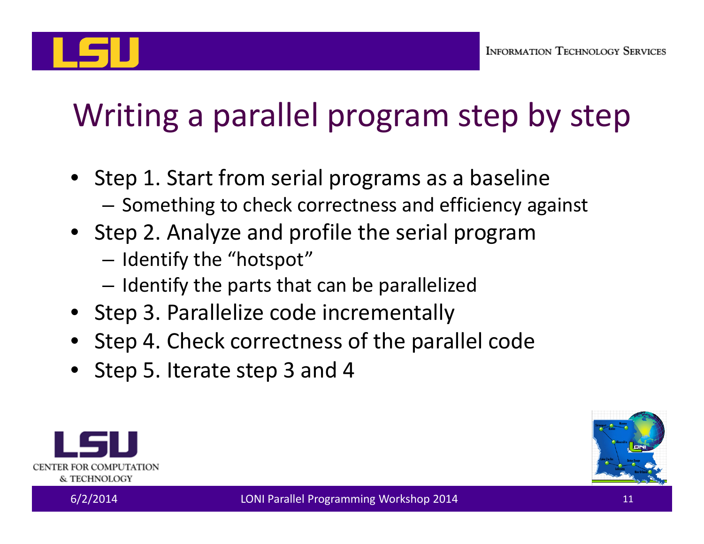## Writing <sup>a</sup> parallel program step by step

- Step 1. Start from serial programs as <sup>a</sup> baseline  $-$  Something to check correctness and efficiency against
- Step 2. Analyze and profile the serial program
	- $-$  Identify the "hotspot"
	- $-$  Identify the parts that can be parallelized
- Step 3. Parallelize code incrementally
- Step 4. Check correctness of the parallel code
- Step 5. Iterate step 3 and 4



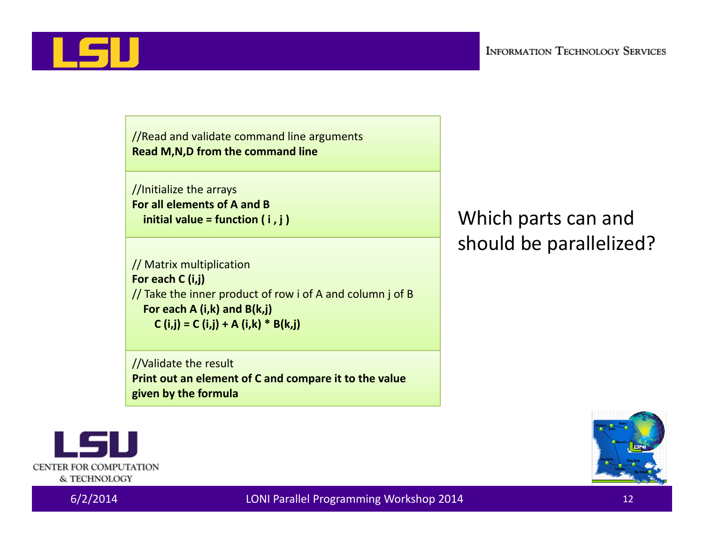

//Initialize the arrays **For all elements of A and B initial value <sup>=</sup> function ( i , j )**

// Matrix multiplication **For each C (i,j)** // Take the inner product of row i of A and column j of B **For each A (i,k) and B(k,j) C (i,j) <sup>=</sup> C (i,j) <sup>+</sup> A (i,k) \* B(k,j)**

//Validate the result **Print out an element of C and compare it to the value given by the formula**

Which parts can and should be parallelized?



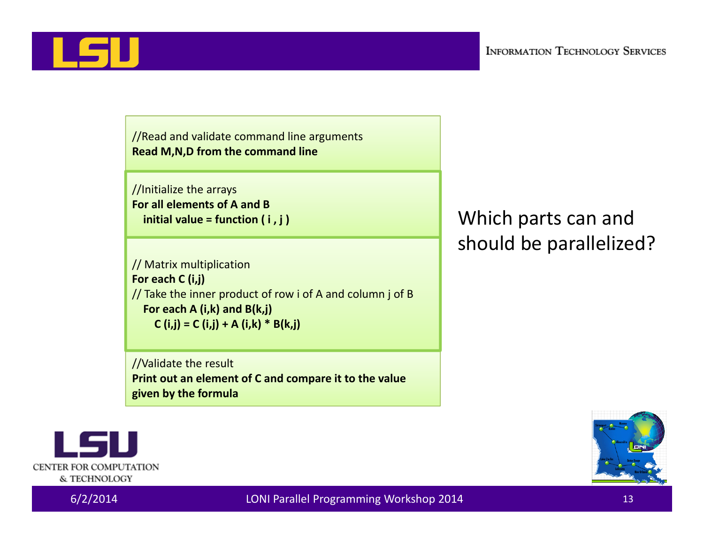

//Initialize the arrays **For all elements of A and B initial value <sup>=</sup> function ( i , j )**

// Matrix multiplication **For each C (i,j)** // Take the inner product of row i of A and column j of B **For each A (i,k) and B(k,j) C (i,j) <sup>=</sup> C (i,j) <sup>+</sup> A (i,k) \* B(k,j)**

//Validate the result **Print out an element of C and compare it to the value given by the formula**

#### Which parts can and should be parallelized?



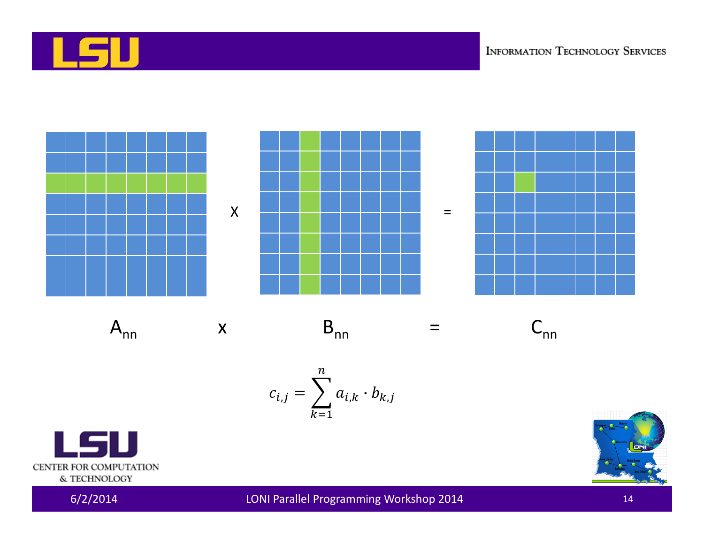



$$
c_{i,j} = \sum_{k=1}^{n} a_{i,k} \cdot b_{k,j}
$$



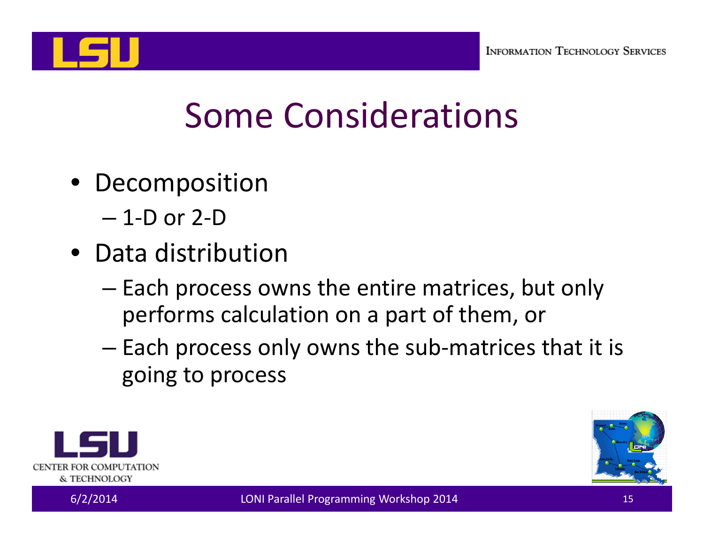

#### Some Considerations

- Decomposition
	- 1‐D or 2‐D
- Data distribution
	- – $-$  Each process owns the entire matrices, but only performs calculation on <sup>a</sup> part of them, or
	- –— Each process only owns the sub-matrices that it is going to process



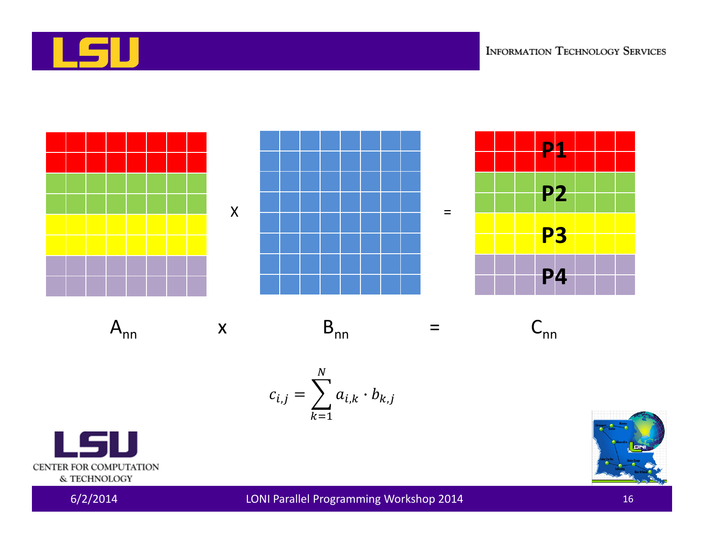



 $A_{nn}$ 





 $\equiv$ 









 $6/2/2014$ 

LONI Parallel Programming Workshop 2014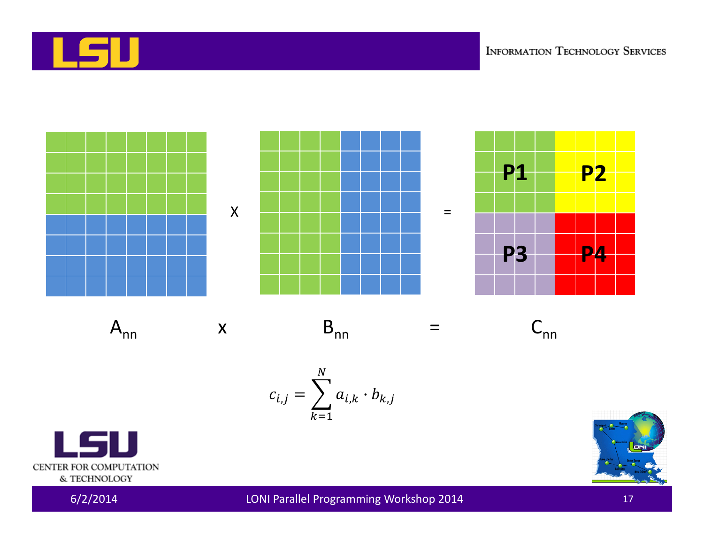



$$
c_{i,j} = \sum_{k=1}^N a_{i,k} \cdot b_{k,j}
$$





 $6/2/2014$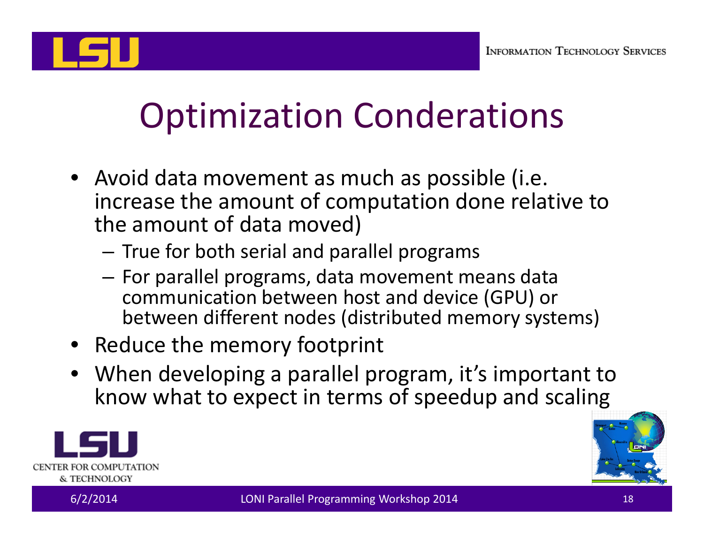

## Optimization Conderations

- Avoid data movement as much as possible (i.e. increase the amount of computation done relative to the amount of data moved)
	- – $-$  True for both serial and parallel programs
	- $-$  For parallel programs, data movement means data communication between host and device (GPU) or between different nodes (distributed memory systems)
- Reduce the memory footprint
- When developing <sup>a</sup> parallel program, it's important to know what to expect in terms of speedup and scaling



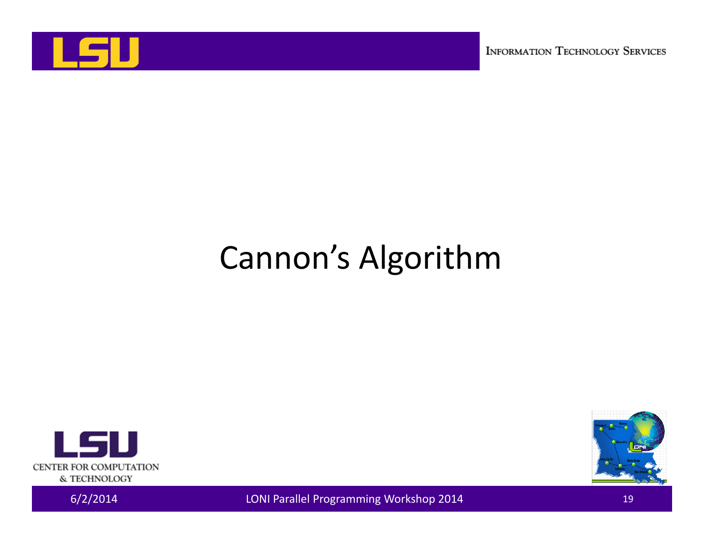

**INFORMATION TECHNOLOGY SERVICES** 

#### Cannon's Algorithm





EXAMPLE 2014 LONI Parallel Programming Workshop 2014 19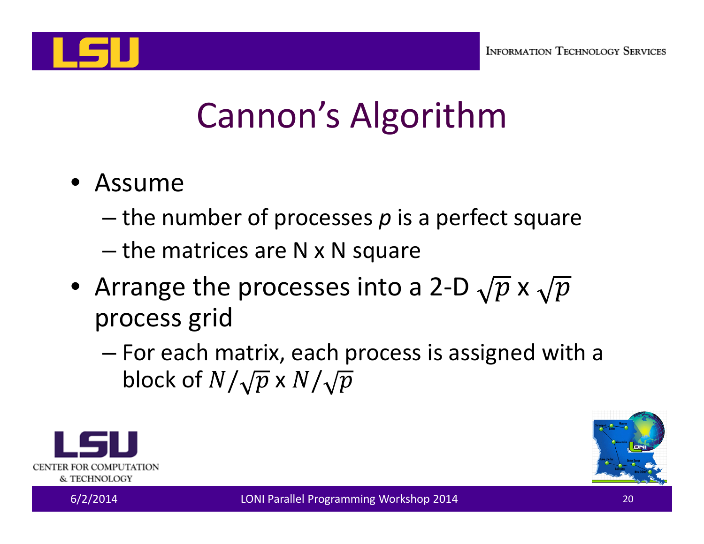

# Cannon's Algorithm

- Assume
	- the number of processes *p* is <sup>a</sup> perfect square
	- the matrices are N <sup>x</sup> N square
- Arrange the processes into a 2-D  $\sqrt{p}$  x process grid
	- – For each matrix, each process is assigned with <sup>a</sup> block of  $N/\sqrt{p}$  x



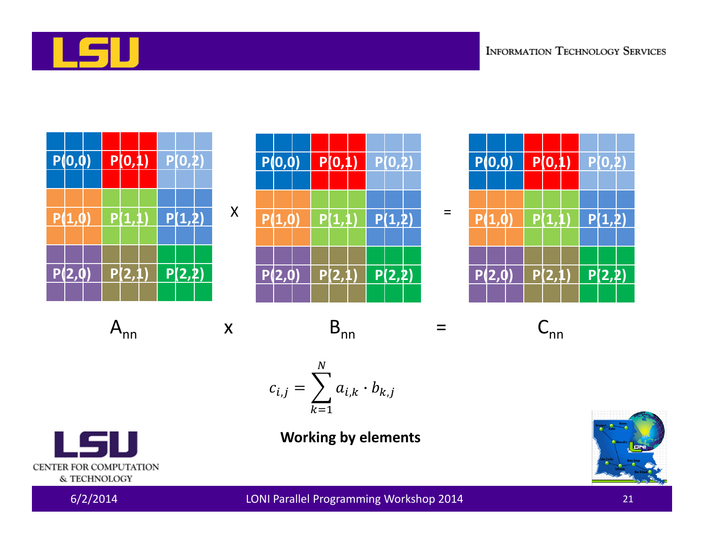



$$
c_{i,j} = \sum_{k=1}^{N} a_{i,k} \cdot b_{k,j}
$$



**Working by elements**

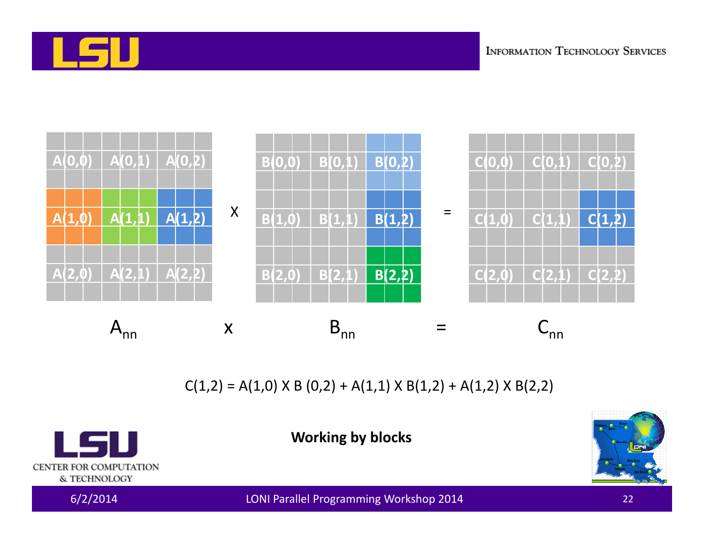



 $C(1,2) = A(1,0) \times B(0,2) + A(1,1) \times B(1,2) + A(1,2) \times B(2,2)$ 

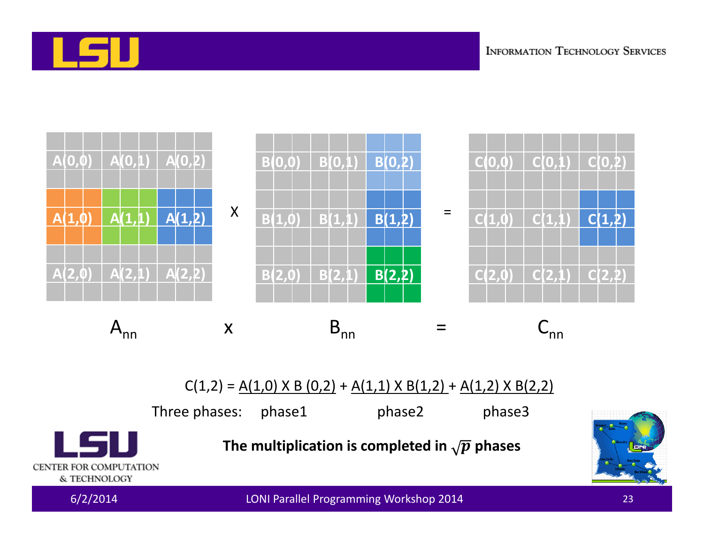



 $C(1,2) = A(1,0) \times B(0,2) + A(1,1) \times B(1,2) + A(1,2) \times B(2,2)$ 

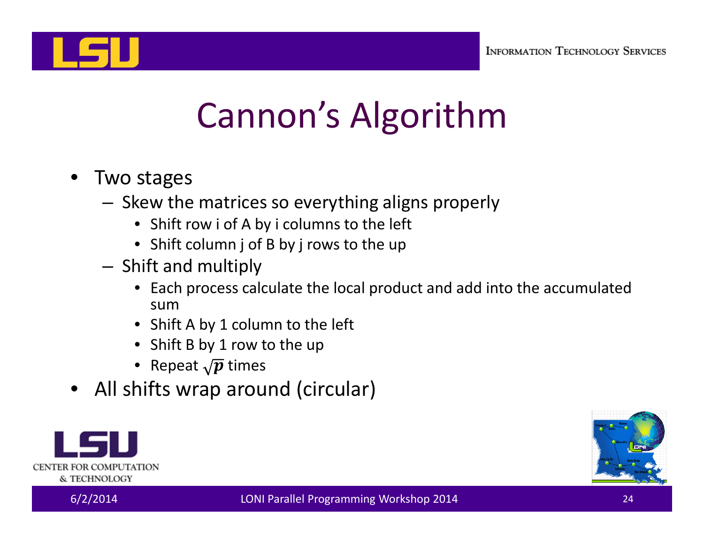

# Cannon's Algorithm

- Two stages
	- Skew the matrices so everything aligns properly
		- Shift row i of A by i columns to the left
		- Shift column j of B by j rows to the up
	- – $-$  Shift and multiply
		- Each process calculate the local product and add into the accumulated sum
		- Shift A by 1 column to the left
		- Shift B by 1 row to the up
		- $\bullet~$  Repeat  $\sqrt{\pmb{p}}$  times
- All shifts wrap around (circular)



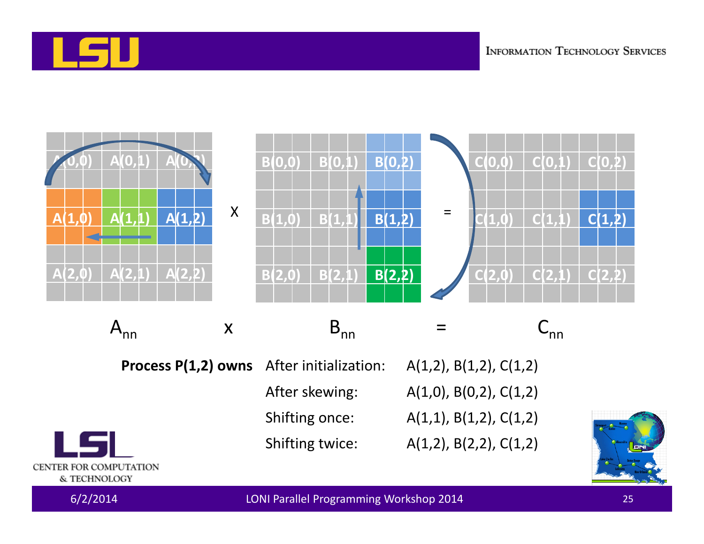





6/2/2014 LONI Parallel Programming Workshop 2014 <sup>25</sup>

Shifting twice: A(1,2), B(2,2), C(1,2)